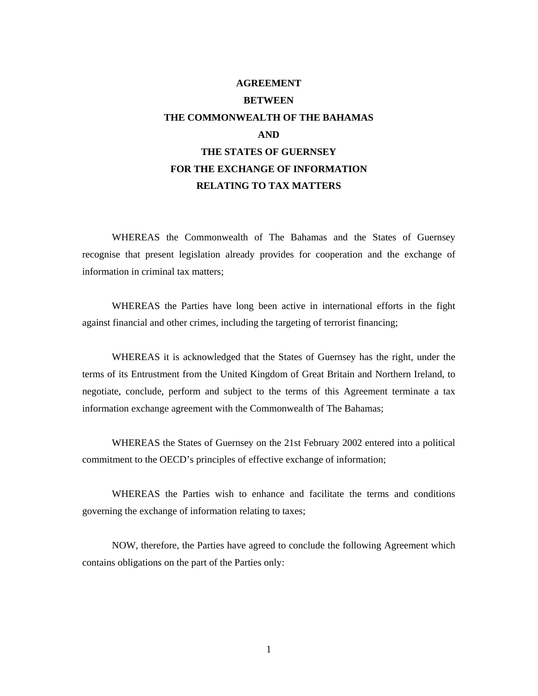# **AGREEMENT BETWEEN THE COMMONWEALTH OF THE BAHAMAS AND THE STATES OF GUERNSEY FOR THE EXCHANGE OF INFORMATION RELATING TO TAX MATTERS**

WHEREAS the Commonwealth of The Bahamas and the States of Guernsey recognise that present legislation already provides for cooperation and the exchange of information in criminal tax matters;

WHEREAS the Parties have long been active in international efforts in the fight against financial and other crimes, including the targeting of terrorist financing;

WHEREAS it is acknowledged that the States of Guernsey has the right, under the terms of its Entrustment from the United Kingdom of Great Britain and Northern Ireland, to negotiate, conclude, perform and subject to the terms of this Agreement terminate a tax information exchange agreement with the Commonwealth of The Bahamas;

WHEREAS the States of Guernsey on the 21st February 2002 entered into a political commitment to the OECD's principles of effective exchange of information;

WHEREAS the Parties wish to enhance and facilitate the terms and conditions governing the exchange of information relating to taxes;

NOW, therefore, the Parties have agreed to conclude the following Agreement which contains obligations on the part of the Parties only: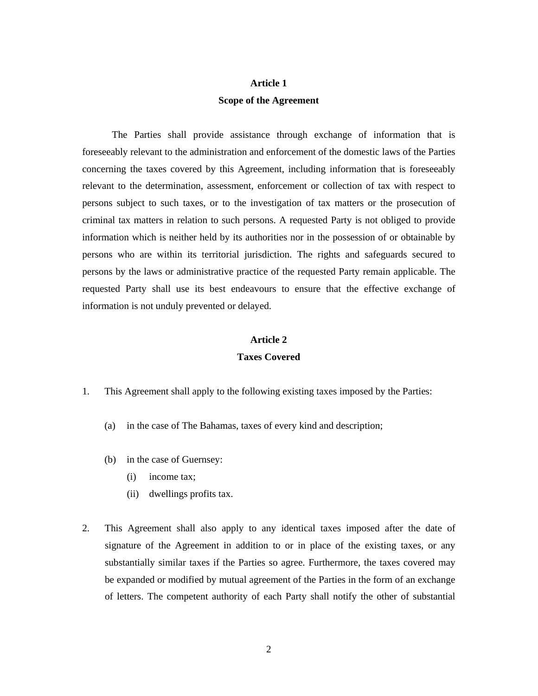## **Article 1 Scope of the Agreement**

The Parties shall provide assistance through exchange of information that is foreseeably relevant to the administration and enforcement of the domestic laws of the Parties concerning the taxes covered by this Agreement, including information that is foreseeably relevant to the determination, assessment, enforcement or collection of tax with respect to persons subject to such taxes, or to the investigation of tax matters or the prosecution of criminal tax matters in relation to such persons. A requested Party is not obliged to provide information which is neither held by its authorities nor in the possession of or obtainable by persons who are within its territorial jurisdiction. The rights and safeguards secured to persons by the laws or administrative practice of the requested Party remain applicable. The requested Party shall use its best endeavours to ensure that the effective exchange of information is not unduly prevented or delayed.

### **Article 2**

### **Taxes Covered**

- 1. This Agreement shall apply to the following existing taxes imposed by the Parties:
	- (a) in the case of The Bahamas, taxes of every kind and description;
	- (b) in the case of Guernsey:
		- (i) income tax;
		- (ii) dwellings profits tax.
- 2. This Agreement shall also apply to any identical taxes imposed after the date of signature of the Agreement in addition to or in place of the existing taxes, or any substantially similar taxes if the Parties so agree. Furthermore, the taxes covered may be expanded or modified by mutual agreement of the Parties in the form of an exchange of letters. The competent authority of each Party shall notify the other of substantial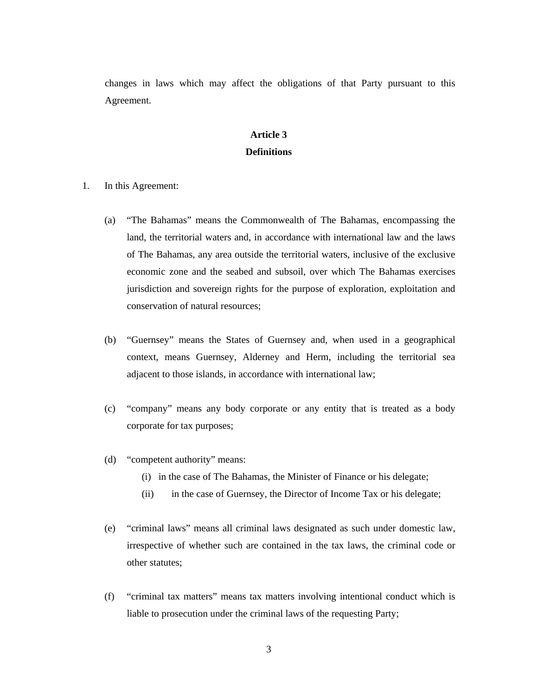changes in laws which may affect the obligations of that Party pursuant to this Agreement.

## **Article 3 Definitions**

- 1. In this Agreement:
	- (a) "The Bahamas" means the Commonwealth of The Bahamas, encompassing the land, the territorial waters and, in accordance with international law and the laws of The Bahamas, any area outside the territorial waters, inclusive of the exclusive economic zone and the seabed and subsoil, over which The Bahamas exercises jurisdiction and sovereign rights for the purpose of exploration, exploitation and conservation of natural resources;
	- (b) "Guernsey" means the States of Guernsey and, when used in a geographical context, means Guernsey, Alderney and Herm, including the territorial sea adjacent to those islands, in accordance with international law;
	- (c) "company" means any body corporate or any entity that is treated as a body corporate for tax purposes;
	- (d) "competent authority" means:
		- (i) in the case of The Bahamas, the Minister of Finance or his delegate;
		- (ii) in the case of Guernsey, the Director of Income Tax or his delegate;
	- (e) "criminal laws" means all criminal laws designated as such under domestic law, irrespective of whether such are contained in the tax laws, the criminal code or other statutes;
	- (f) "criminal tax matters" means tax matters involving intentional conduct which is liable to prosecution under the criminal laws of the requesting Party;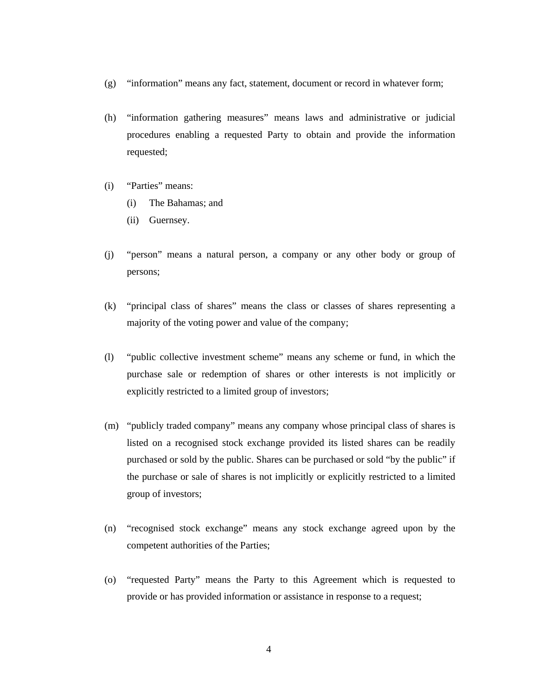- (g) "information" means any fact, statement, document or record in whatever form;
- (h) "information gathering measures" means laws and administrative or judicial procedures enabling a requested Party to obtain and provide the information requested;
- (i) "Parties" means:
	- (i) The Bahamas; and
	- (ii) Guernsey.
- (j) "person" means a natural person, a company or any other body or group of persons;
- (k) "principal class of shares" means the class or classes of shares representing a majority of the voting power and value of the company;
- (l) "public collective investment scheme" means any scheme or fund, in which the purchase sale or redemption of shares or other interests is not implicitly or explicitly restricted to a limited group of investors;
- (m) "publicly traded company" means any company whose principal class of shares is listed on a recognised stock exchange provided its listed shares can be readily purchased or sold by the public. Shares can be purchased or sold "by the public" if the purchase or sale of shares is not implicitly or explicitly restricted to a limited group of investors;
- (n) "recognised stock exchange" means any stock exchange agreed upon by the competent authorities of the Parties;
- (o) "requested Party" means the Party to this Agreement which is requested to provide or has provided information or assistance in response to a request;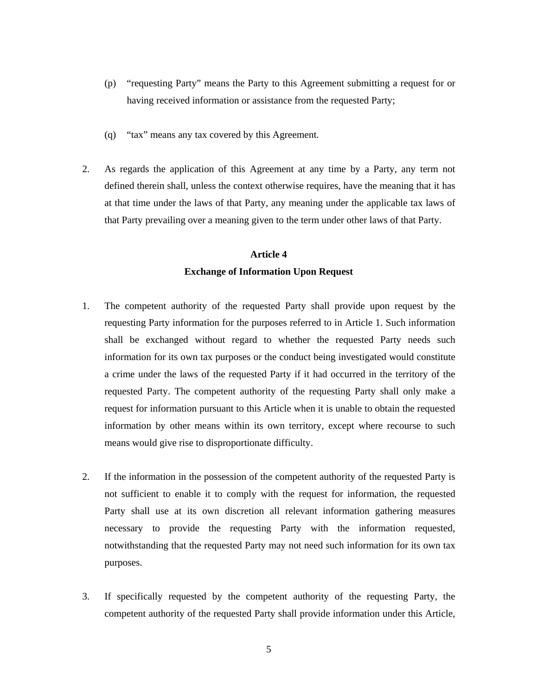- (p) "requesting Party" means the Party to this Agreement submitting a request for or having received information or assistance from the requested Party;
- (q) "tax" means any tax covered by this Agreement.
- 2. As regards the application of this Agreement at any time by a Party, any term not defined therein shall, unless the context otherwise requires, have the meaning that it has at that time under the laws of that Party, any meaning under the applicable tax laws of that Party prevailing over a meaning given to the term under other laws of that Party.

## **Article 4 Exchange of Information Upon Request**

- 1. The competent authority of the requested Party shall provide upon request by the requesting Party information for the purposes referred to in Article 1. Such information shall be exchanged without regard to whether the requested Party needs such information for its own tax purposes or the conduct being investigated would constitute a crime under the laws of the requested Party if it had occurred in the territory of the requested Party. The competent authority of the requesting Party shall only make a request for information pursuant to this Article when it is unable to obtain the requested information by other means within its own territory, except where recourse to such means would give rise to disproportionate difficulty.
- 2. If the information in the possession of the competent authority of the requested Party is not sufficient to enable it to comply with the request for information, the requested Party shall use at its own discretion all relevant information gathering measures necessary to provide the requesting Party with the information requested, notwithstanding that the requested Party may not need such information for its own tax purposes.
- 3. If specifically requested by the competent authority of the requesting Party, the competent authority of the requested Party shall provide information under this Article,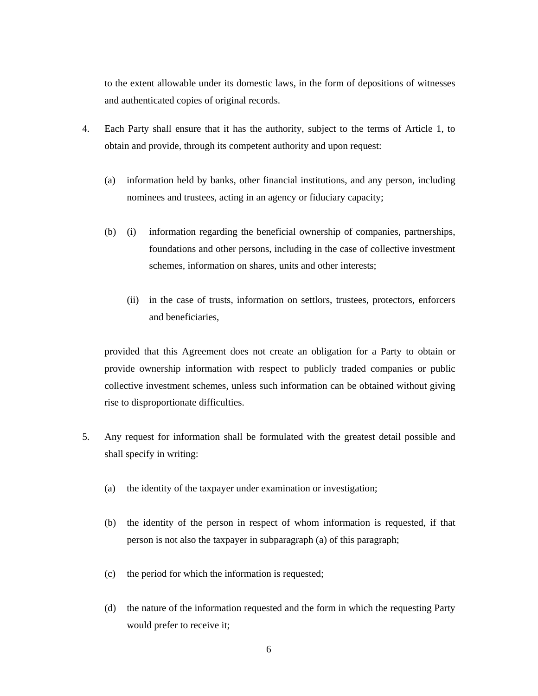to the extent allowable under its domestic laws, in the form of depositions of witnesses and authenticated copies of original records.

- 4. Each Party shall ensure that it has the authority, subject to the terms of Article 1, to obtain and provide, through its competent authority and upon request:
	- (a) information held by banks, other financial institutions, and any person, including nominees and trustees, acting in an agency or fiduciary capacity;
	- (b) (i) information regarding the beneficial ownership of companies, partnerships, foundations and other persons, including in the case of collective investment schemes, information on shares, units and other interests;
		- (ii) in the case of trusts, information on settlors, trustees, protectors, enforcers and beneficiaries,

 provided that this Agreement does not create an obligation for a Party to obtain or provide ownership information with respect to publicly traded companies or public collective investment schemes, unless such information can be obtained without giving rise to disproportionate difficulties.

- 5. Any request for information shall be formulated with the greatest detail possible and shall specify in writing:
	- (a) the identity of the taxpayer under examination or investigation;
	- (b) the identity of the person in respect of whom information is requested, if that person is not also the taxpayer in subparagraph (a) of this paragraph;
	- (c) the period for which the information is requested;
	- (d) the nature of the information requested and the form in which the requesting Party would prefer to receive it;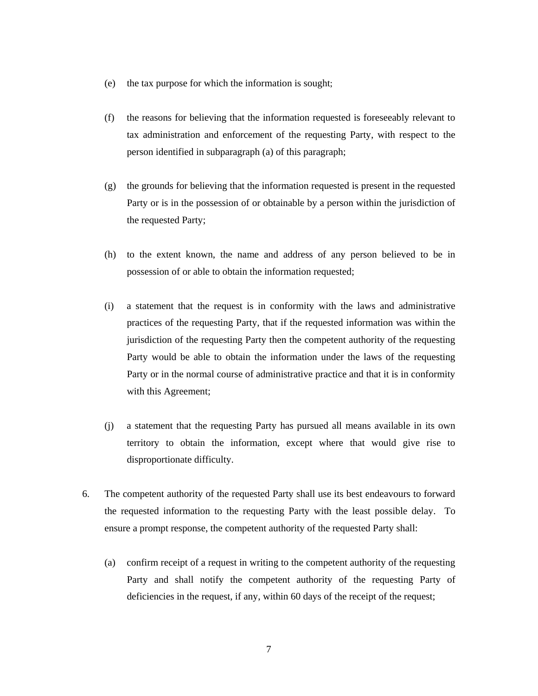- (e) the tax purpose for which the information is sought;
- (f) the reasons for believing that the information requested is foreseeably relevant to tax administration and enforcement of the requesting Party, with respect to the person identified in subparagraph (a) of this paragraph;
- (g) the grounds for believing that the information requested is present in the requested Party or is in the possession of or obtainable by a person within the jurisdiction of the requested Party;
- (h) to the extent known, the name and address of any person believed to be in possession of or able to obtain the information requested;
- (i) a statement that the request is in conformity with the laws and administrative practices of the requesting Party, that if the requested information was within the jurisdiction of the requesting Party then the competent authority of the requesting Party would be able to obtain the information under the laws of the requesting Party or in the normal course of administrative practice and that it is in conformity with this Agreement;
- (j) a statement that the requesting Party has pursued all means available in its own territory to obtain the information, except where that would give rise to disproportionate difficulty.
- 6. The competent authority of the requested Party shall use its best endeavours to forward the requested information to the requesting Party with the least possible delay. To ensure a prompt response, the competent authority of the requested Party shall:
	- (a) confirm receipt of a request in writing to the competent authority of the requesting Party and shall notify the competent authority of the requesting Party of deficiencies in the request, if any, within 60 days of the receipt of the request;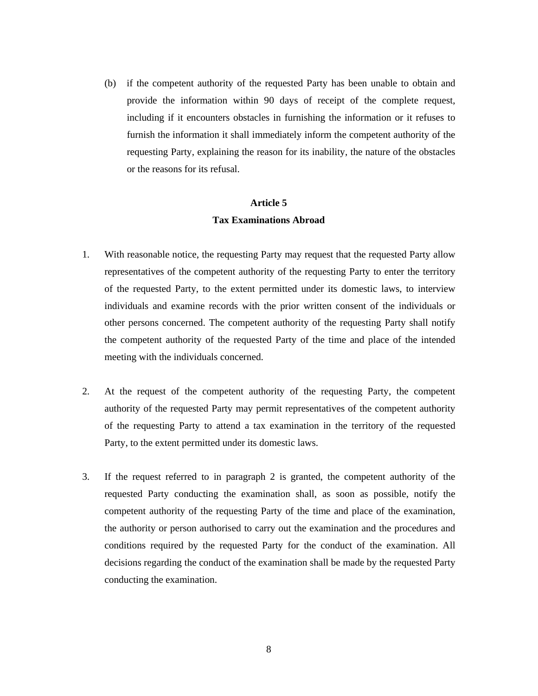(b) if the competent authority of the requested Party has been unable to obtain and provide the information within 90 days of receipt of the complete request, including if it encounters obstacles in furnishing the information or it refuses to furnish the information it shall immediately inform the competent authority of the requesting Party, explaining the reason for its inability, the nature of the obstacles or the reasons for its refusal.

## **Article 5 Tax Examinations Abroad**

- 1. With reasonable notice, the requesting Party may request that the requested Party allow representatives of the competent authority of the requesting Party to enter the territory of the requested Party, to the extent permitted under its domestic laws, to interview individuals and examine records with the prior written consent of the individuals or other persons concerned. The competent authority of the requesting Party shall notify the competent authority of the requested Party of the time and place of the intended meeting with the individuals concerned.
- 2. At the request of the competent authority of the requesting Party, the competent authority of the requested Party may permit representatives of the competent authority of the requesting Party to attend a tax examination in the territory of the requested Party, to the extent permitted under its domestic laws.
- 3. If the request referred to in paragraph 2 is granted, the competent authority of the requested Party conducting the examination shall, as soon as possible, notify the competent authority of the requesting Party of the time and place of the examination, the authority or person authorised to carry out the examination and the procedures and conditions required by the requested Party for the conduct of the examination. All decisions regarding the conduct of the examination shall be made by the requested Party conducting the examination.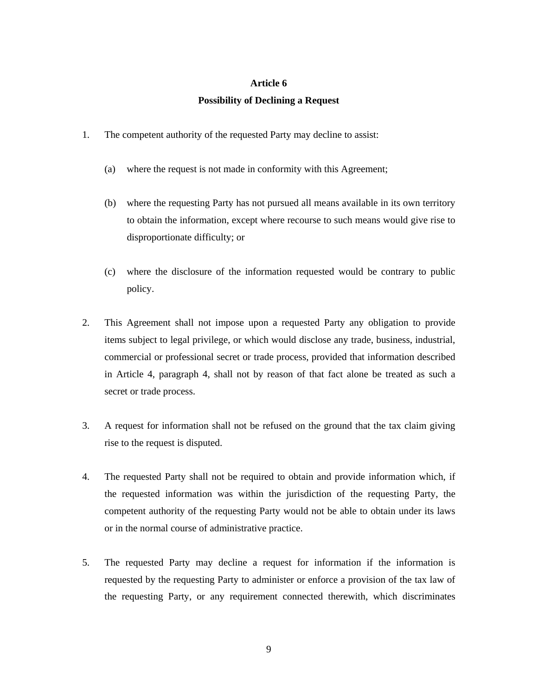### **Article 6**

### **Possibility of Declining a Request**

- 1. The competent authority of the requested Party may decline to assist:
	- (a) where the request is not made in conformity with this Agreement;
	- (b) where the requesting Party has not pursued all means available in its own territory to obtain the information, except where recourse to such means would give rise to disproportionate difficulty; or
	- (c) where the disclosure of the information requested would be contrary to public policy.
- 2. This Agreement shall not impose upon a requested Party any obligation to provide items subject to legal privilege, or which would disclose any trade, business, industrial, commercial or professional secret or trade process, provided that information described in Article 4, paragraph 4, shall not by reason of that fact alone be treated as such a secret or trade process.
- 3. A request for information shall not be refused on the ground that the tax claim giving rise to the request is disputed.
- 4. The requested Party shall not be required to obtain and provide information which, if the requested information was within the jurisdiction of the requesting Party, the competent authority of the requesting Party would not be able to obtain under its laws or in the normal course of administrative practice.
- 5. The requested Party may decline a request for information if the information is requested by the requesting Party to administer or enforce a provision of the tax law of the requesting Party, or any requirement connected therewith, which discriminates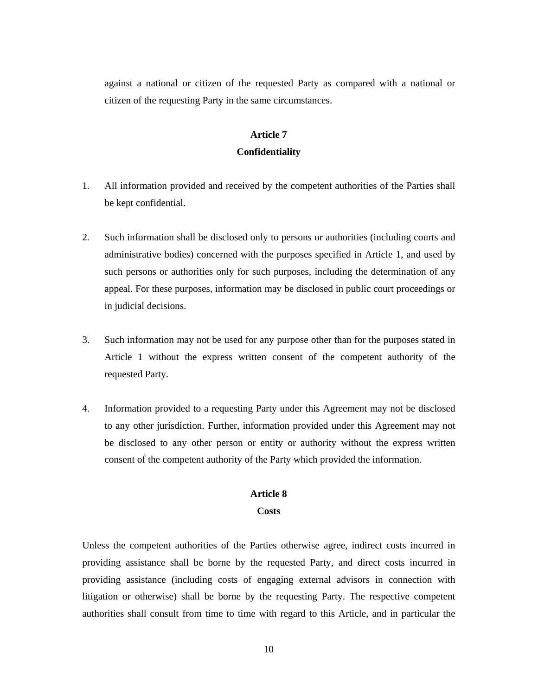against a national or citizen of the requested Party as compared with a national or citizen of the requesting Party in the same circumstances.

## **Article 7 Confidentiality**

- 1. All information provided and received by the competent authorities of the Parties shall be kept confidential.
- 2. Such information shall be disclosed only to persons or authorities (including courts and administrative bodies) concerned with the purposes specified in Article 1, and used by such persons or authorities only for such purposes, including the determination of any appeal. For these purposes, information may be disclosed in public court proceedings or in judicial decisions.
- 3. Such information may not be used for any purpose other than for the purposes stated in Article 1 without the express written consent of the competent authority of the requested Party.
- 4. Information provided to a requesting Party under this Agreement may not be disclosed to any other jurisdiction. Further, information provided under this Agreement may not be disclosed to any other person or entity or authority without the express written consent of the competent authority of the Party which provided the information.

### **Article 8**

### **Costs**

Unless the competent authorities of the Parties otherwise agree, indirect costs incurred in providing assistance shall be borne by the requested Party, and direct costs incurred in providing assistance (including costs of engaging external advisors in connection with litigation or otherwise) shall be borne by the requesting Party. The respective competent authorities shall consult from time to time with regard to this Article, and in particular the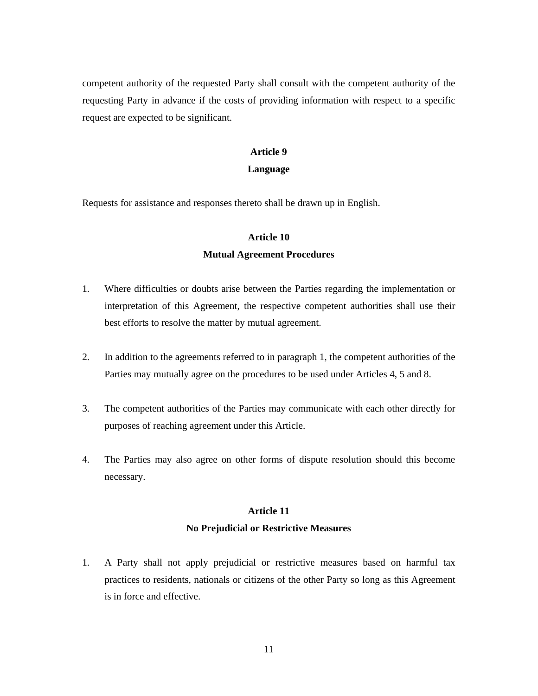competent authority of the requested Party shall consult with the competent authority of the requesting Party in advance if the costs of providing information with respect to a specific request are expected to be significant.

### **Article 9**

### **Language**

Requests for assistance and responses thereto shall be drawn up in English.

### **Article 10**

#### **Mutual Agreement Procedures**

- 1. Where difficulties or doubts arise between the Parties regarding the implementation or interpretation of this Agreement, the respective competent authorities shall use their best efforts to resolve the matter by mutual agreement.
- 2. In addition to the agreements referred to in paragraph 1, the competent authorities of the Parties may mutually agree on the procedures to be used under Articles 4, 5 and 8.
- 3. The competent authorities of the Parties may communicate with each other directly for purposes of reaching agreement under this Article.
- 4. The Parties may also agree on other forms of dispute resolution should this become necessary.

## **Article 11 No Prejudicial or Restrictive Measures**

1. A Party shall not apply prejudicial or restrictive measures based on harmful tax practices to residents, nationals or citizens of the other Party so long as this Agreement is in force and effective.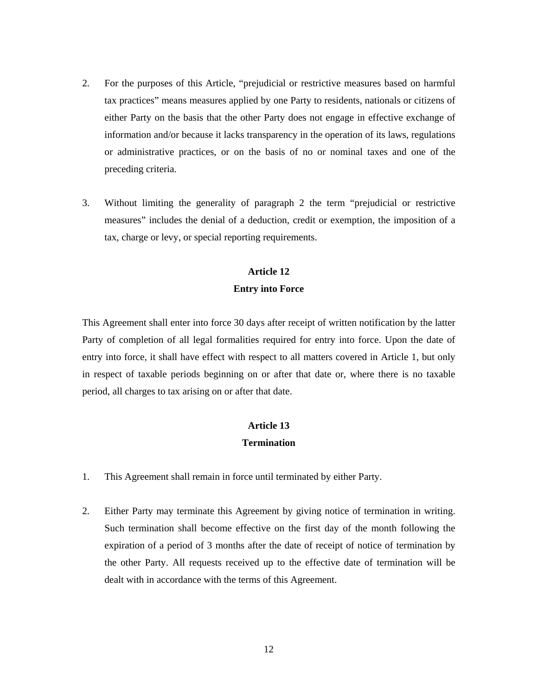- 2. For the purposes of this Article, "prejudicial or restrictive measures based on harmful tax practices" means measures applied by one Party to residents, nationals or citizens of either Party on the basis that the other Party does not engage in effective exchange of information and/or because it lacks transparency in the operation of its laws, regulations or administrative practices, or on the basis of no or nominal taxes and one of the preceding criteria.
- 3. Without limiting the generality of paragraph 2 the term "prejudicial or restrictive measures" includes the denial of a deduction, credit or exemption, the imposition of a tax, charge or levy, or special reporting requirements.

## **Article 12 Entry into Force**

This Agreement shall enter into force 30 days after receipt of written notification by the latter Party of completion of all legal formalities required for entry into force. Upon the date of entry into force, it shall have effect with respect to all matters covered in Article 1, but only in respect of taxable periods beginning on or after that date or, where there is no taxable period, all charges to tax arising on or after that date.

## **Article 13 Termination**

- 1. This Agreement shall remain in force until terminated by either Party.
- 2. Either Party may terminate this Agreement by giving notice of termination in writing. Such termination shall become effective on the first day of the month following the expiration of a period of 3 months after the date of receipt of notice of termination by the other Party. All requests received up to the effective date of termination will be dealt with in accordance with the terms of this Agreement.